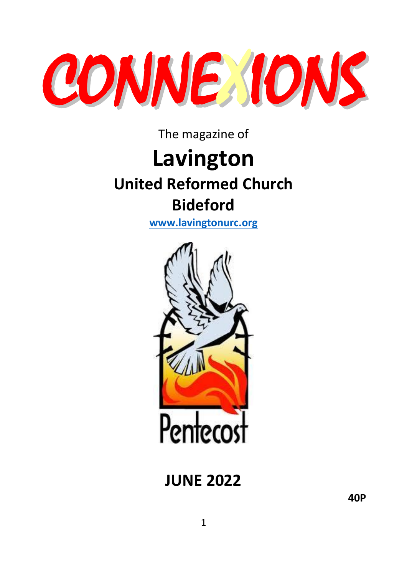

The magazine of

# **Lavington United Reformed Church Bideford**

**[www.lavingtonurc.org](http://www.lavingtonurc.org/)**



**JUNE 2022**

**40P**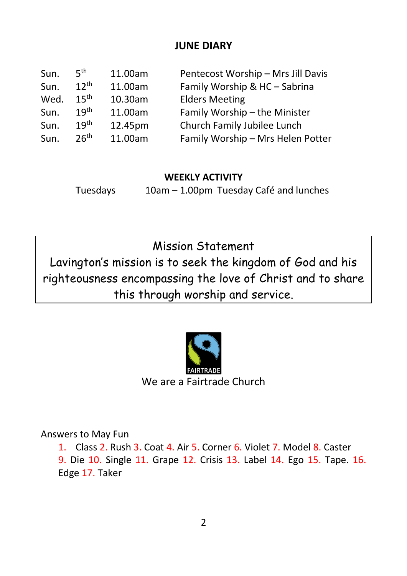## **JUNE DIARY**

| Sun. | 5 <sup>th</sup>  | 11.00am | Pentecost Worship - Mrs Jill Davis |
|------|------------------|---------|------------------------------------|
| Sun. | $12^{th}$        | 11.00am | Family Worship & HC - Sabrina      |
| Wed. | $15^{\text{th}}$ | 10.30am | <b>Elders Meeting</b>              |
| Sun. | 19 <sup>th</sup> | 11.00am | Family Worship - the Minister      |
| Sun. | 19 <sup>th</sup> | 12.45pm | Church Family Jubilee Lunch        |
| Sun. | 26 <sup>th</sup> | 11.00am | Family Worship - Mrs Helen Potter  |

#### **WEEKLY ACTIVITY**

Tuesdays 10am – 1.00pm Tuesday Café and lunches

Mission Statement Lavington's mission is to seek the kingdom of God and his righteousness encompassing the love of Christ and to share this through worship and service.



Answers to May Fun

1. Class 2. Rush 3. Coat 4. Air 5. Corner 6. Violet 7. Model 8. Caster 9. Die 10. Single 11. Grape 12. Crisis 13. Label 14. Ego 15. Tape. 16. Edge 17. Taker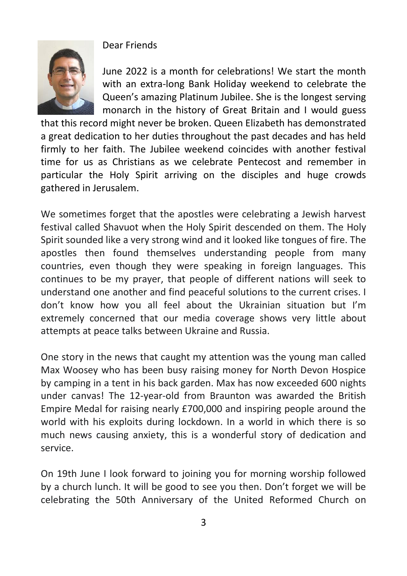

Dear Friends

June 2022 is a month for celebrations! We start the month with an extra-long Bank Holiday weekend to celebrate the Queen's amazing Platinum Jubilee. She is the longest serving monarch in the history of Great Britain and I would guess

that this record might never be broken. Queen Elizabeth has demonstrated a great dedication to her duties throughout the past decades and has held firmly to her faith. The Jubilee weekend coincides with another festival time for us as Christians as we celebrate Pentecost and remember in particular the Holy Spirit arriving on the disciples and huge crowds gathered in Jerusalem.

We sometimes forget that the apostles were celebrating a Jewish harvest festival called Shavuot when the Holy Spirit descended on them. The Holy Spirit sounded like a very strong wind and it looked like tongues of fire. The apostles then found themselves understanding people from many countries, even though they were speaking in foreign languages. This continues to be my prayer, that people of different nations will seek to understand one another and find peaceful solutions to the current crises. I don't know how you all feel about the Ukrainian situation but I'm extremely concerned that our media coverage shows very little about attempts at peace talks between Ukraine and Russia.

One story in the news that caught my attention was the young man called Max Woosey who has been busy raising money for North Devon Hospice by camping in a tent in his back garden. Max has now exceeded 600 nights under canvas! The 12-year-old from Braunton was awarded the British Empire Medal for raising nearly £700,000 and inspiring people around the world with his exploits during lockdown. In a world in which there is so much news causing anxiety, this is a wonderful story of dedication and service.

On 19th June I look forward to joining you for morning worship followed by a church lunch. It will be good to see you then. Don't forget we will be celebrating the 50th Anniversary of the United Reformed Church on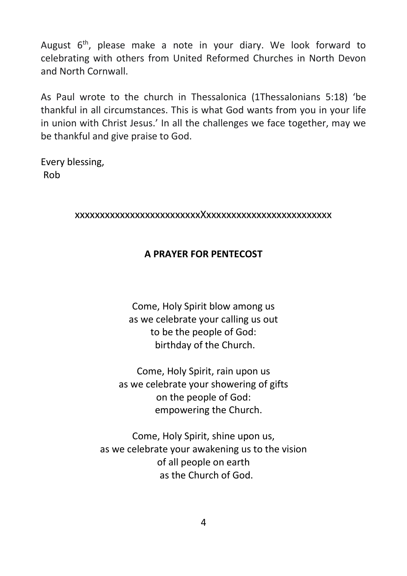August 6<sup>th</sup>, please make a note in your diary. We look forward to celebrating with others from United Reformed Churches in North Devon and North Cornwall.

As Paul wrote to the church in Thessalonica (1Thessalonians 5:18) 'be thankful in all circumstances. This is what God wants from you in your life in union with Christ Jesus.' In all the challenges we face together, may we be thankful and give praise to God.

Every blessing, Rob

#### xxxxxxxxxxxxxxxxxxxxxxxxxXxxxxxxxxxxxxxxxxxxxxxxxxx

#### **A PRAYER FOR PENTECOST**

Come, Holy Spirit blow among us as we celebrate your calling us out to be the people of God: birthday of the Church.

Come, Holy Spirit, rain upon us as we celebrate your showering of gifts on the people of God: empowering the Church.

Come, Holy Spirit, shine upon us, as we celebrate your awakening us to the vision of all people on earth as the Church of God.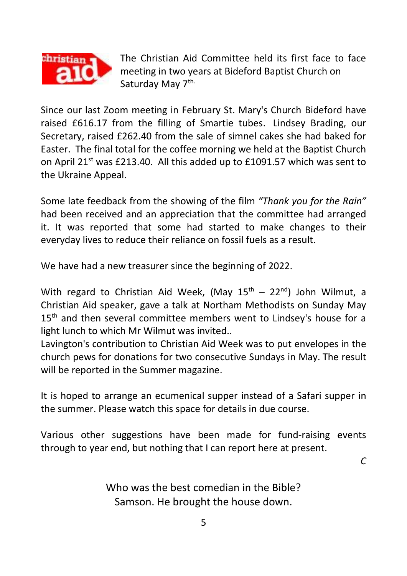

The Christian Aid Committee held its first face to face meeting in two years at Bideford Baptist Church on Saturday May 7<sup>th.</sup>

Since our last Zoom meeting in February St. Mary's Church Bideford have raised £616.17 from the filling of Smartie tubes. Lindsey Brading, our Secretary, raised £262.40 from the sale of simnel cakes she had baked for Easter. The final total for the coffee morning we held at the Baptist Church on April 21<sup>st</sup> was £213.40. All this added up to £1091.57 which was sent to the Ukraine Appeal.

Some late feedback from the showing of the film *"Thank you for the Rain"* had been received and an appreciation that the committee had arranged it. It was reported that some had started to make changes to their everyday lives to reduce their reliance on fossil fuels as a result.

We have had a new treasurer since the beginning of 2022.

With regard to Christian Aid Week, (May  $15<sup>th</sup> - 22<sup>nd</sup>$ ) John Wilmut, a Christian Aid speaker, gave a talk at Northam Methodists on Sunday May 15<sup>th</sup> and then several committee members went to Lindsey's house for a light lunch to which Mr Wilmut was invited..

Lavington's contribution to Christian Aid Week was to put envelopes in the church pews for donations for two consecutive Sundays in May. The result will be reported in the Summer magazine.

It is hoped to arrange an ecumenical supper instead of a Safari supper in the summer. Please watch this space for details in due course.

Various other suggestions have been made for fund-raising events through to year end, but nothing that I can report here at present.

*C*

Who was the best comedian in the Bible? Samson. He brought the house down.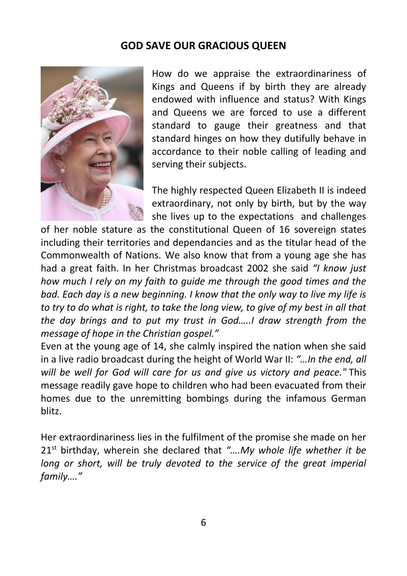### **GOD SAVE OUR GRACIOUS QUEEN**



How do we appraise the extraordinariness of Kings and Queens if by birth they are already endowed with influence and status? With Kings and Queens we are forced to use a different standard to gauge their greatness and that standard hinges on how they dutifully behave in accordance to their noble calling of leading and serving their subjects.

The highly respected Queen Elizabeth II is indeed extraordinary, not only by birth, but by the way she lives up to the expectations and challenges

of her noble stature as the constitutional Queen of 16 sovereign states including their territories and dependancies and as the titular head of the Commonwealth of Nations. We also know that from a young age she has had a great faith. In her Christmas broadcast 2002 she said *"I know just how much I rely on my faith to guide me through the good times and the bad. Each day is a new beginning. I know that the only way to live my life is to try to do what is right, to take the long view, to give of my best in all that the day brings and to put my trust in God…..I draw strength from the message of hope in the Christian gospel."*

Even at the young age of 14, she calmly inspired the nation when she said in a live radio broadcast during the height of World War II: *"…In the end, all will be well for God will care for us and give us victory and peace."* This message readily gave hope to children who had been evacuated from their homes due to the unremitting bombings during the infamous German blitz.

Her extraordinariness lies in the fulfilment of the promise she made on her 21st birthday, wherein she declared that *"….My whole life whether it be long or short, will be truly devoted to the service of the great imperial family…."*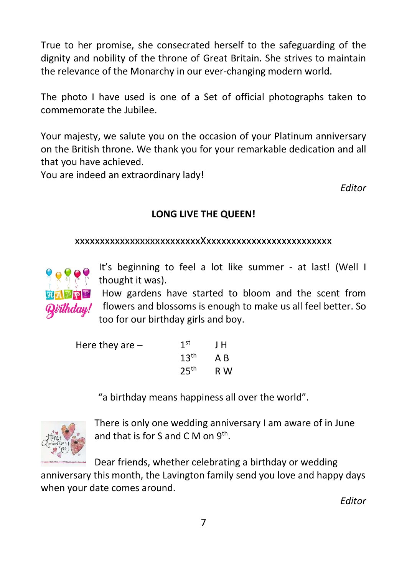True to her promise, she consecrated herself to the safeguarding of the dignity and nobility of the throne of Great Britain. She strives to maintain the relevance of the Monarchy in our ever-changing modern world.

The photo I have used is one of a Set of official photographs taken to commemorate the Jubilee.

Your majesty, we salute you on the occasion of your Platinum anniversary on the British throne. We thank you for your remarkable dedication and all that you have achieved.

You are indeed an extraordinary lady!

*Editor*

## **LONG LIVE THE QUEEN!**

#### xxxxxxxxxxxxxxxxxxxxxxxxxXxxxxxxxxxxxxxxxxxxxxxxxxx



It's beginning to feel a lot like summer - at last! (Well I thought it was).

How gardens have started to bloom and the scent from flowers and blossoms is enough to make us all feel better. So too for our birthday girls and boy.

| Here they are $-$ | 1 <sup>st</sup>  | J H |
|-------------------|------------------|-----|
|                   | 13 <sup>th</sup> | AB  |
|                   | 25 <sup>th</sup> | R W |

"a birthday means happiness all over the world".



There is only one wedding anniversary I am aware of in June and that is for S and C M on  $9<sup>th</sup>$ .

Dear friends, whether celebrating a birthday or wedding

anniversary this month, the Lavington family send you love and happy days when your date comes around.

*Editor*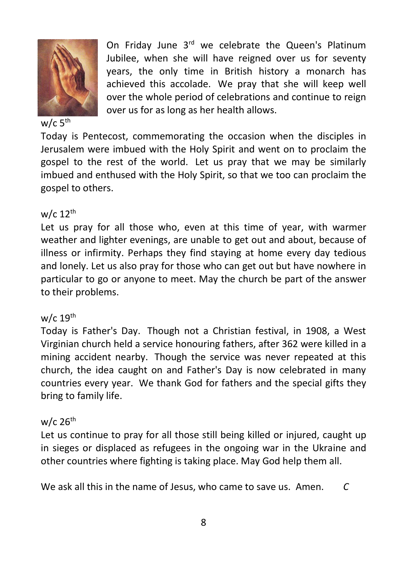

On Friday June 3<sup>rd</sup> we celebrate the Queen's Platinum Jubilee, when she will have reigned over us for seventy years, the only time in British history a monarch has achieved this accolade. We pray that she will keep well over the whole period of celebrations and continue to reign over us for as long as her health allows.

#### w/c  $5^{\text{th}}$

Today is Pentecost, commemorating the occasion when the disciples in Jerusalem were imbued with the Holy Spirit and went on to proclaim the gospel to the rest of the world. Let us pray that we may be similarly imbued and enthused with the Holy Spirit, so that we too can proclaim the gospel to others.

#### $w/c$  12<sup>th</sup>

Let us pray for all those who, even at this time of year, with warmer weather and lighter evenings, are unable to get out and about, because of illness or infirmity. Perhaps they find staying at home every day tedious and lonely. Let us also pray for those who can get out but have nowhere in particular to go or anyone to meet. May the church be part of the answer to their problems.

#### $w/c$  19<sup>th</sup>

Today is Father's Day. Though not a Christian festival, in 1908, a West Virginian church held a service honouring fathers, after 362 were killed in a mining accident nearby. Though the service was never repeated at this church, the idea caught on and Father's Day is now celebrated in many countries every year. We thank God for fathers and the special gifts they bring to family life.

#### $w/c$  26<sup>th</sup>

Let us continue to pray for all those still being killed or injured, caught up in sieges or displaced as refugees in the ongoing war in the Ukraine and other countries where fighting is taking place. May God help them all.

We ask all this in the name of Jesus, who came to save us. Amen. *C*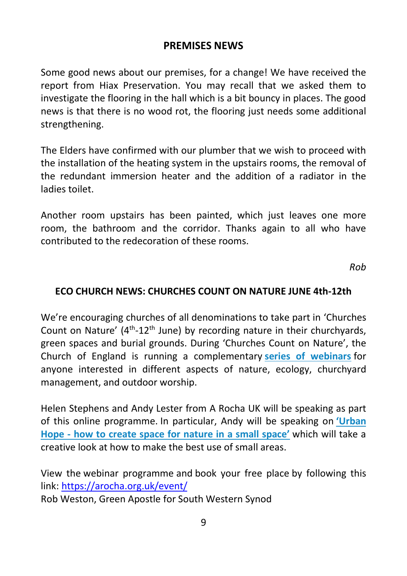## **PREMISES NEWS**

Some good news about our premises, for a change! We have received the report from Hiax Preservation. You may recall that we asked them to investigate the flooring in the hall which is a bit bouncy in places. The good news is that there is no wood rot, the flooring just needs some additional strengthening.

The Elders have confirmed with our plumber that we wish to proceed with the installation of the heating system in the upstairs rooms, the removal of the redundant immersion heater and the addition of a radiator in the ladies toilet.

Another room upstairs has been painted, which just leaves one more room, the bathroom and the corridor. Thanks again to all who have contributed to the redecoration of these rooms.

*Rob*

### **ECO CHURCH NEWS: CHURCHES COUNT ON NATURE JUNE 4th-12th**

We're encouraging churches of all denominations to take part in 'Churches Count on Nature' (4<sup>th</sup>-12<sup>th</sup> June) by recording nature in their churchyards, green spaces and burial grounds. During 'Churches Count on Nature', the Church of England is running a complementary **[series of webinars](https://arocha.us14.list-manage.com/track/click?u=69f4c1083320061706fe47874&id=cc8e1eabd3&e=5fbb0cffbd)** for anyone interested in different aspects of nature, ecology, churchyard management, and outdoor worship.

Helen Stephens and Andy Lester from A Rocha UK will be speaking as part of this online programme. In particular, Andy will be speaking on **['Urba](https://arocha.us14.list-manage.com/track/click?u=69f4c1083320061706fe47874&id=6f238ca637&e=5fbb0cffbd)n Hope - how [to create space for nature in a small space'](https://arocha.us14.list-manage.com/track/click?u=69f4c1083320061706fe47874&id=6f238ca637&e=5fbb0cffbd)** which will take a creative look at how to make the best use of small areas.

View the webinar programme and book your free place by following this link[: https://arocha.org.uk/event/](https://arocha.org.uk/event/)

Rob Weston, Green Apostle for South Western Synod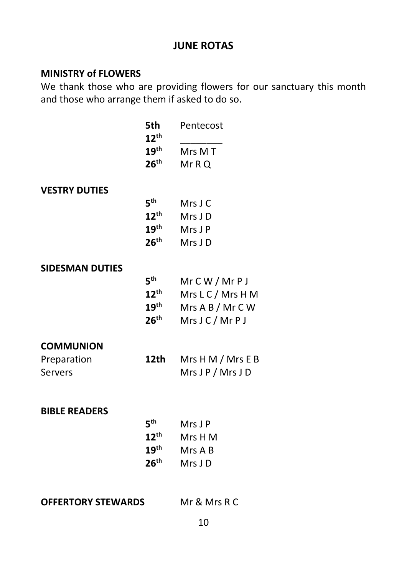## **JUNE ROTAS**

## **MINISTRY of FLOWERS**

We thank those who are providing flowers for our sanctuary this month and those who arrange them if asked to do so.

|                           | 5th<br>$12^{\text{th}}$ | Pentecost           |
|---------------------------|-------------------------|---------------------|
|                           | $19^{\sf th}$           | Mrs M T             |
|                           | $26^{\text{th}}$        | Mr R Q              |
| <b>VESTRY DUTIES</b>      |                         |                     |
|                           | 5 <sup>th</sup>         | Mrs J C             |
|                           | $12^{\text{th}}$        | Mrs J D             |
|                           | $19^{\sf th}$           | Mrs J P             |
|                           | $26^{\text{th}}$        | Mrs JD              |
| <b>SIDESMAN DUTIES</b>    |                         |                     |
|                           | $5^{\text{th}}$         | $Mr$ $CW / Mr$ $PI$ |
|                           | $12^{\text{th}}$        | Mrs L C / Mrs H M   |
|                           | $19^{\text{th}}$        | Mrs A B / Mr C W    |
|                           | $26^{\text{th}}$        | Mrs J C / Mr P J    |
| <b>COMMUNION</b>          |                         |                     |
| Preparation               | 12th                    | Mrs H M / Mrs E B   |
| Servers                   |                         | Mrs J P / Mrs J D   |
|                           |                         |                     |
| <b>BIBLE READERS</b>      |                         |                     |
|                           | $5^{\text{th}}$         | Mrs J P             |
|                           | $12^{\text{th}}$        | Mrs H M             |
|                           | $19^{\sf th}$           | Mrs A B             |
|                           | 26 <sup>th</sup>        | Mrs JD              |
|                           |                         |                     |
| <b>OFFERTORY STEWARDS</b> | Mr & Mrs R C            |                     |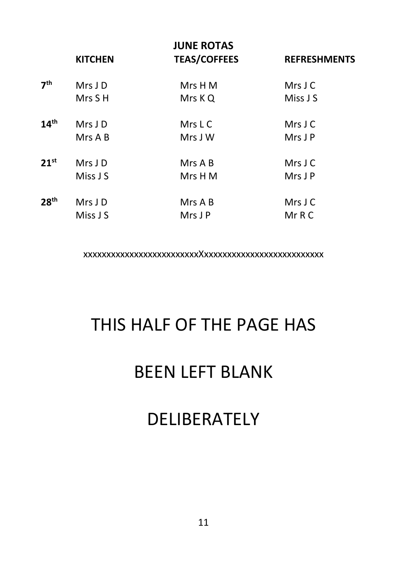|                  | <b>KITCHEN</b> | <b>JUNE ROTAS</b><br><b>TEAS/COFFEES</b> | <b>REFRESHMENTS</b> |
|------------------|----------------|------------------------------------------|---------------------|
| 7 <sup>th</sup>  | Mrs J D        | Mrs H M                                  | Mrs J C             |
|                  | Mrs S H        | Mrs K Q                                  | Miss J S            |
| 14 <sup>th</sup> | Mrs J D        | Mrs L C                                  | Mrs J C             |
|                  | Mrs A B        | Mrs J W                                  | Mrs J P             |
| $21^{st}$        | Mrs J D        | Mrs A B                                  | $Mrs$ J C           |
|                  | Miss J S       | Mrs H M                                  | Mrs J P             |
| 28 <sup>th</sup> | Mrs J D        | Mrs A B                                  | Mrs J C             |
|                  | Miss J S       | Mrs J P                                  | Mr R C              |

xxxxxxxxxxxxxxxxxxxxxxxxxXxxxxxxxxxxxxxxxxxxxxxxxxxx

# THIS HALF OF THE PAGE HAS

# BEEN LEFT BLANK

## DELIBERATELY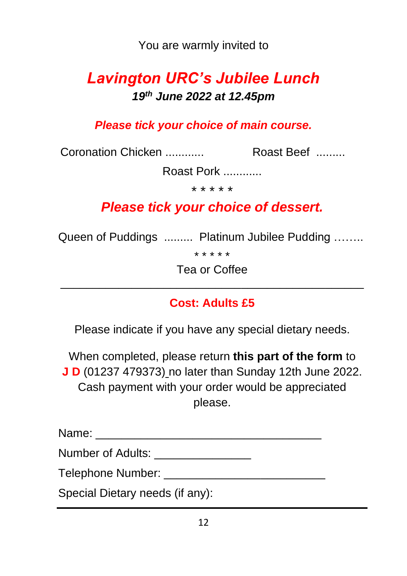You are warmly invited to

## *Lavington URC's Jubilee Lunch 19th June 2022 at 12.45pm*

*Please tick your choice of main course.* 

Coronation Chicken ............ Roast Beef .........

Roast Pork ............

\* \* \* \* \*

## *Please tick your choice of dessert.*

Queen of Puddings ......... Platinum Jubilee Pudding ……..

\* \* \* \* \*

Tea or Coffee \_\_\_\_\_\_\_\_\_\_\_\_\_\_\_\_\_\_\_\_\_\_\_\_\_\_\_\_\_\_\_\_\_\_\_\_\_\_\_\_\_\_\_\_\_\_\_

## **Cost: Adults £5**

Please indicate if you have any special dietary needs.

When completed, please return **this part of the form** to **J D** (01237 479373) no later than Sunday 12th June 2022. Cash payment with your order would be appreciated please.

| Name:             |  |  |
|-------------------|--|--|
| Number of Adults: |  |  |

Telephone Number:  $\blacksquare$ 

Special Dietary needs (if any):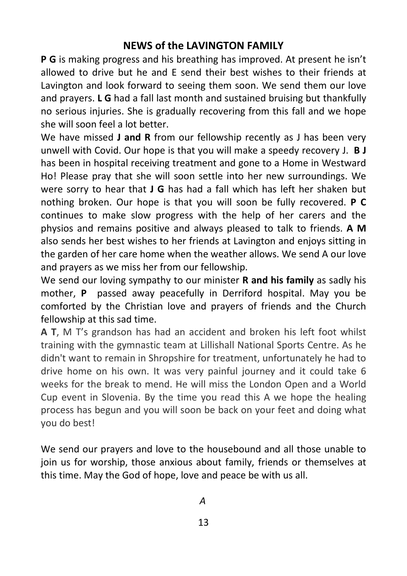## **NEWS of the LAVINGTON FAMILY**

**P G** is making progress and his breathing has improved. At present he isn't allowed to drive but he and E send their best wishes to their friends at Lavington and look forward to seeing them soon. We send them our love and prayers. **L G** had a fall last month and sustained bruising but thankfully no serious injuries. She is gradually recovering from this fall and we hope she will soon feel a lot better.

We have missed **J and R** from our fellowship recently as J has been very unwell with Covid. Our hope is that you will make a speedy recovery J. **B J** has been in hospital receiving treatment and gone to a Home in Westward Ho! Please pray that she will soon settle into her new surroundings. We were sorry to hear that **J G** has had a fall which has left her shaken but nothing broken. Our hope is that you will soon be fully recovered. **P C** continues to make slow progress with the help of her carers and the physios and remains positive and always pleased to talk to friends. **A M** also sends her best wishes to her friends at Lavington and enjoys sitting in the garden of her care home when the weather allows. We send A our love and prayers as we miss her from our fellowship.

We send our loving sympathy to our minister **R and his family** as sadly his mother, **P** passed away peacefully in Derriford hospital. May you be comforted by the Christian love and prayers of friends and the Church fellowship at this sad time.

**A T**, M T's grandson has had an accident and broken his left foot whilst training with the gymnastic team at Lillishall National Sports Centre. As he didn't want to remain in Shropshire for treatment, unfortunately he had to drive home on his own. It was very painful journey and it could take 6 weeks for the break to mend. He will miss the London Open and a World Cup event in Slovenia. By the time you read this A we hope the healing process has begun and you will soon be back on your feet and doing what you do best!

We send our prayers and love to the housebound and all those unable to join us for worship, those anxious about family, friends or themselves at this time. May the God of hope, love and peace be with us all.

 *A*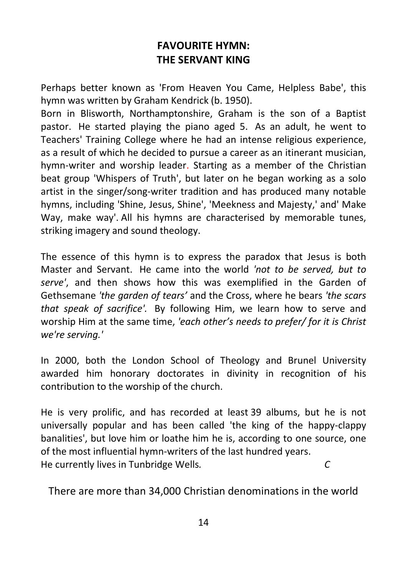## **FAVOURITE HYMN: THE SERVANT KING**

Perhaps better known as 'From Heaven You Came, Helpless Babe', this hymn was written by Graham Kendrick (b. 1950).

Born in Blisworth, Northamptonshire, Graham is the son of a Baptist pastor. He started playing the piano aged 5. As an adult, he went to Teachers' Training College where he had an intense religious experience, as a result of which he decided to pursue a career as an itinerant musician, hymn-writer and worship leader. Starting as a member of the Christian beat group 'Whispers of Truth', but later on he began working as a solo artist in the singer/song-writer tradition and has produced many notable hymns, including 'Shine, Jesus, Shine', 'Meekness and Majesty,' and' Make Way, make way'. All his hymns are characterised by memorable tunes, striking imagery and sound theology.

The essence of this hymn is to express the paradox that Jesus is both Master and Servant. He came into the world *'not to be served, but to serve'*, and then shows how this was exemplified in the Garden of Gethsemane *'the garden of tears'* and the Cross, where he bears *'the scars that speak of sacrifice'.* By following Him, we learn how to serve and worship Him at the same time, *'each other's needs to prefer/ for it is Christ we're serving.'*

In 2000, both the London School of Theology and Brunel University awarded him honorary doctorates in divinity in recognition of his contribution to the worship of the church.

He is very prolific, and has recorded at least 39 albums, but he is not universally popular and has been called 'the king of the happy-clappy banalities', but love him or loathe him he is, according to one source, one of the most influential hymn-writers of the last hundred years. He currently lives in Tunbridge Wells*. C*

There are more than 34,000 Christian denominations in the world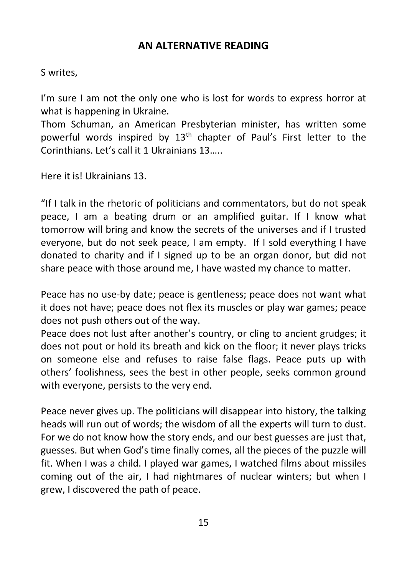### **AN ALTERNATIVE READING**

#### S writes,

I'm sure I am not the only one who is lost for words to express horror at what is happening in Ukraine.

Thom Schuman, an American Presbyterian minister, has written some powerful words inspired by 13<sup>th</sup> chapter of Paul's First letter to the Corinthians. Let's call it 1 Ukrainians 13…..

Here it is! Ukrainians 13.

"If I talk in the rhetoric of politicians and commentators, but do not speak peace, I am a beating drum or an amplified guitar. If I know what tomorrow will bring and know the secrets of the universes and if I trusted everyone, but do not seek peace, I am empty. If I sold everything I have donated to charity and if I signed up to be an organ donor, but did not share peace with those around me, I have wasted my chance to matter.

Peace has no use-by date; peace is gentleness; peace does not want what it does not have; peace does not flex its muscles or play war games; peace does not push others out of the way.

Peace does not lust after another's country, or cling to ancient grudges; it does not pout or hold its breath and kick on the floor; it never plays tricks on someone else and refuses to raise false flags. Peace puts up with others' foolishness, sees the best in other people, seeks common ground with everyone, persists to the very end.

Peace never gives up. The politicians will disappear into history, the talking heads will run out of words; the wisdom of all the experts will turn to dust. For we do not know how the story ends, and our best guesses are just that, guesses. But when God's time finally comes, all the pieces of the puzzle will fit. When I was a child. I played war games, I watched films about missiles coming out of the air, I had nightmares of nuclear winters; but when I grew, I discovered the path of peace.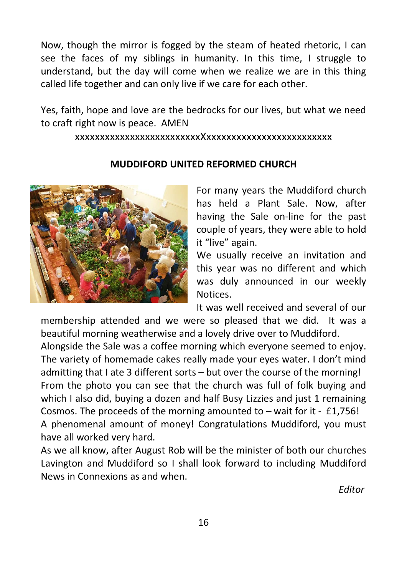Now, though the mirror is fogged by the steam of heated rhetoric, I can see the faces of my siblings in humanity. In this time, I struggle to understand, but the day will come when we realize we are in this thing called life together and can only live if we care for each other.

Yes, faith, hope and love are the bedrocks for our lives, but what we need to craft right now is peace. AMEN

xxxxxxxxxxxxxxxxxxxxxxxxxXxxxxxxxxxxxxxxxxxxxxxxxxx



#### **MUDDIFORD UNITED REFORMED CHURCH**

For many years the Muddiford church has held a Plant Sale. Now, after having the Sale on-line for the past couple of years, they were able to hold it "live" again.

We usually receive an invitation and this year was no different and which was duly announced in our weekly Notices.

It was well received and several of our

membership attended and we were so pleased that we did. It was a beautiful morning weatherwise and a lovely drive over to Muddiford.

Alongside the Sale was a coffee morning which everyone seemed to enjoy. The variety of homemade cakes really made your eyes water. I don't mind admitting that I ate 3 different sorts – but over the course of the morning! From the photo you can see that the church was full of folk buying and which I also did, buying a dozen and half Busy Lizzies and just 1 remaining Cosmos. The proceeds of the morning amounted to – wait for it - £1,756!

A phenomenal amount of money! Congratulations Muddiford, you must have all worked very hard.

As we all know, after August Rob will be the minister of both our churches Lavington and Muddiford so I shall look forward to including Muddiford News in Connexions as and when.

*Editor*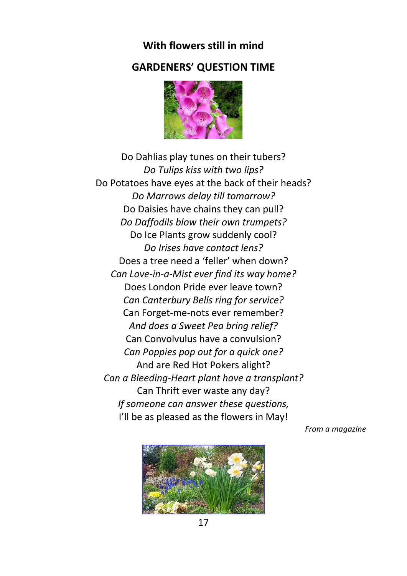## **With flowers still in mind GARDENERS' QUESTION TIME**



Do Dahlias play tunes on their tubers? *Do Tulips kiss with two lips?* Do Potatoes have eyes at the back of their heads? *Do Marrows delay till tomarrow?* Do Daisies have chains they can pull? *Do Daffodils blow their own trumpets?* Do Ice Plants grow suddenly cool? *Do Irises have contact lens?* Does a tree need a 'feller' when down? *Can Love-in-a-Mist ever find its way home?* Does London Pride ever leave town? *Can Canterbury Bells ring for service?* Can Forget-me-nots ever remember? *And does a Sweet Pea bring relief?* Can Convolvulus have a convulsion? *Can Poppies pop out for a quick one?* And are Red Hot Pokers alight? *Can a Bleeding-Heart plant have a transplant?* Can Thrift ever waste any day? *If someone can answer these questions,* I'll be as pleased as the flowers in May!

*From a magazine*



17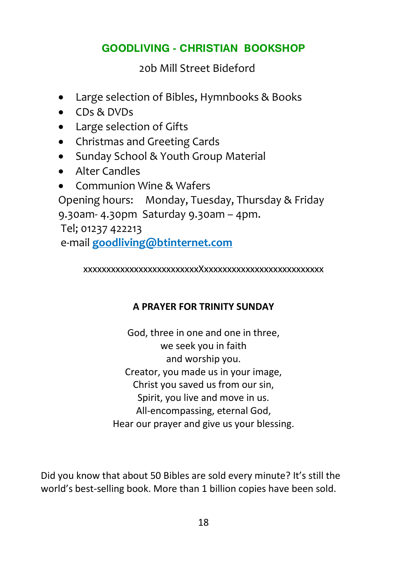## **GOODLIVING - CHRISTIAN BOOKSHOP**

20b Mill Street Bideford

- Large selection of Bibles, Hymnbooks & Books
- CDs & DVDs
- Large selection of Gifts
- Christmas and Greeting Cards
- Sunday School & Youth Group Material
- Alter Candles
- Communion Wine & Wafers

Opening hours: Monday, Tuesday, Thursday & Friday 9.30am- 4.30pm Saturday 9.30am – 4pm.

Tel; 01237 422213 e-mail **goodliving@btinternet.com**

xxxxxxxxxxxxxxxxxxxxxxxxxXxxxxxxxxxxxxxxxxxxxxxxxxxx

## **A PRAYER FOR TRINITY SUNDAY**

God, three in one and one in three, we seek you in faith and worship you. Creator, you made us in your image, Christ you saved us from our sin, Spirit, you live and move in us. All-encompassing, eternal God, Hear our prayer and give us your blessing.

Did you know that about 50 Bibles are sold every minute? It's still the world's best-selling book. More than 1 billion copies have been sold.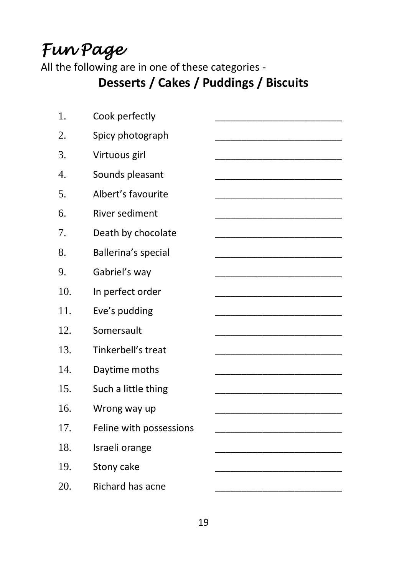# *Fun Page*

All the following are in one of these categories -

## **Desserts / Cakes / Puddings / Biscuits**

| 1.  | Cook perfectly          |  |
|-----|-------------------------|--|
| 2.  | Spicy photograph        |  |
| 3.  | Virtuous girl           |  |
| 4.  | Sounds pleasant         |  |
| 5.  | Albert's favourite      |  |
| 6.  | River sediment          |  |
| 7.  | Death by chocolate      |  |
| 8.  | Ballerina's special     |  |
| 9.  | Gabriel's way           |  |
| 10. | In perfect order        |  |
| 11. | Eve's pudding           |  |
| 12. | Somersault              |  |
| 13. | Tinkerbell's treat      |  |
| 14. | Daytime moths           |  |
| 15. | Such a little thing     |  |
| 16. | Wrong way up            |  |
| 17. | Feline with possessions |  |
| 18. | Israeli orange          |  |
| 19. | Stony cake              |  |
| 20. | Richard has acne        |  |